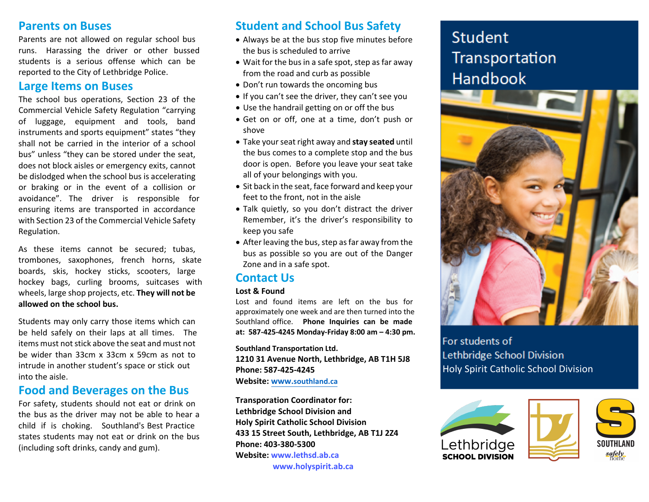# **Parents on Buses**

Parents are not allowed on regular school bus runs. Harassing the driver or other bussed students is <sup>a</sup> serious offense which can be reported to the City of Lethbridge Police.

# **Large Items on Buses**

The school bus operations, Section <sup>23</sup> of the Commercial Vehicle Safety Regulation "carrying of luggage, equipment and tools, band instruments and sports equipment" states "they shall not be carried in the interior of <sup>a</sup> school bus" unless "they can be stored under the seat, does not block aisles or emergency exits, cannot be dislodged when the school bus is accelerating or braking or in the event of <sup>a</sup> collision or avoidance". The driver is responsible for ensuring items are transported in accordance with Section <sup>23</sup> of the Commercial Vehicle Safety Regulation.

As these items cannot be secured; tubas, trombones, saxophones, french horns, skate boards, skis, hockey sticks, scooters, large hockey bags, curling brooms, suitcases withwheels, large shop projects, etc. **They will not be allowed on the school bus.**

Students may only carry those items which can be held safely on their laps at all times. The items must not stick above the seat and must not be wider than 33cm <sup>x</sup> 33cm <sup>x</sup> 59cm as not to intrude in another student's space or stick out into the aisle.

# **Food and Beverages on the Bus**

For safety, students should not eat or drink on the bus as the driver may not be able to hear <sup>a</sup> child if is choking. Southland's Best Practice states students may not eat or drink on the bus (including soft drinks, candy and gum).

### **Student and School Bus Safety**

- Always be at the bus stop five minutes before the bus is scheduled to arrive
- $\bullet\,$  Wait for the bus in a safe spot, step as far away from the road and curb as possible
- Don't run towards the oncoming bus
- If you can't see the driver, they can't see you
- Use the handrail getting on or off the bus
- Get on or off, one at <sup>a</sup> time, don't push or shove
- Take yourseat right away and **stay seated** until the bus comes to <sup>a</sup> complete stop and the bus door is open. Before you leave your seat take all of your belongings with you.
- Sit back in the seat, face forward and keep your feet to the front, not in the aisle
- Talk quietly, so you don't distract the driver Remember, it's the driver's responsibility to keep you safe
- $\bullet\,$  After leaving the bus, step as far away from the bus as possible so you are out of the Danger Zone and in <sup>a</sup> safe spot.

### **Contact Us**

### **Lost& Found**

 Lost and found items are left on the bus for approximately one week and are then turned into the Southland office. **Phone Inquiries can be made at: 587-425-4245 Monday‐Friday 8:00 am– 4:30 pm.**

**Southland Transportation Ltd.**

**1210 31 Avenue North, Lethbridge, AB T1H 5J8 Phone: 587-425-4245Website: www.southland.ca**

**Transporation Coordinator for:Lethbridge School Division and Holy Spirit Catholic School Division 433 <sup>15</sup> Street South, Lethbridge, AB T1J 2Z4 Phone: 403‐380‐5300 Website: www.lethsd.ab.cawww.holyspirit.ab.ca**

# **Student** Transportation Handbook



For students of Lethbridge School Division Holy Spirit Catholic School Division